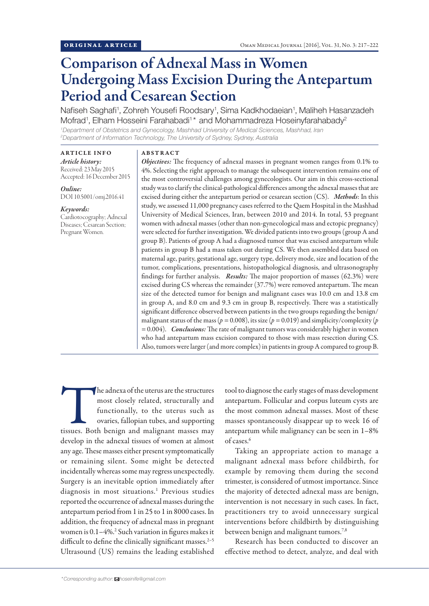# Comparison of Adnexal Mass in Women Undergoing Mass Excision During the Antepartum Period and Cesarean Section

Nafiseh Saghafi<sup>1</sup>, Zohreh Yousefi Roodsary<sup>1</sup>, Sima Kadkhodaeian<sup>1</sup>, Maliheh Hasanzadeh Mofrad<sup>1</sup>, Elham Hosseini Farahabadi<sup>1\*</sup> and Mohammadreza Hoseinyfarahabady<sup>2</sup>

*1 Department of Obstetrics and Gynecology, Mashhad University of Medical Sciences, Mashhad, Iran 2 Department of Information Technology, The University of Sydney, Sydney, Australia*

# ARTICLE INFO

# ABSTRACT

*Article history:* Received: 23 May 2015 Accepted: 16 December 2015

*Online:* DOI 10.5001/omj.2016.41

#### *Keywords:*

Cardiotocography; Adnexal Diseases; Cesarean Section; Pregnant Women.

*Objectives:* The frequency of adnexal masses in pregnant women ranges from 0.1% to 4%. Selecting the right approach to manage the subsequent intervention remains one of the most controversial challenges among gynecologists. Our aim in this cross-sectional study was to clarify the clinical-pathological differences among the adnexal masses that are excised during either the antepartum period or cesarean section (CS). *Methods*: In this study, we assessed 11,000 pregnancy cases referred to the Qaem Hospital in the Mashhad University of Medical Sciences, Iran, between 2010 and 2014. In total, 53 pregnant women with adnexal masses (other than non-gynecological mass and ectopic pregnancy) were selected for further investigation. We divided patients into two groups (group A and group B). Patients of group A had a diagnosed tumor that was excised antepartum while patients in group B had a mass taken out during CS. We then assembled data based on maternal age, parity, gestational age, surgery type, delivery mode, size and location of the tumor, complications, presentations, histopathological diagnosis, and ultrasonography findings for further analysis. *Results:* The major proportion of masses (62.3%) were excised during CS whereas the remainder (37.7%) were removed antepartum. The mean size of the detected tumor for benign and malignant cases was 10.0 cm and 13.8 cm in group A, and 8.0 cm and 9.3 cm in group B, respectively. There was a statistically significant difference observed between patients in the two groups regarding the benign/ malignant status of the mass ( $p = 0.008$ ), its size ( $p = 0.019$ ) and simplicity/complexity ( $p$ *=* 0.004). *Conclusions:* The rate of malignant tumors was considerably higher in women who had antepartum mass excision compared to those with mass resection during CS. Also, tumors were larger (and more complex) in patients in group A compared to group B.

The adnexa of the uterus are the structures<br>
most closely related, structurally and<br>
functionally, to the uterus such as<br>
ovaries, fallopian tubes, and supporting<br>
tissues. Both benign and malignant masses may most closely related, structurally and functionally, to the uterus such as ovaries, fallopian tubes, and supporting develop in the adnexal tissues of women at almost any age. These masses either present symptomatically or remaining silent. Some might be detected incidentally whereas some may regress unexpectedly. Surgery is an inevitable option immediately after diagnosis in most situations.<sup>1</sup> Previous studies reported the occurrence of adnexal masses during the antepartum period from 1 in 25 to 1 in 8000 cases. In addition, the frequency of adnexal mass in pregnant women is 0.1–4%.<sup>2</sup> Such variation in figures makes it difficult to define the clinically significant masses.<sup>2-5</sup> Ultrasound (US) remains the leading established

tool to diagnose the early stages of mass development antepartum. Follicular and corpus luteum cysts are the most common adnexal masses. Most of these masses spontaneously disappear up to week 16 of antepartum while malignancy can be seen in 1–8% of cases.6

Taking an appropriate action to manage a malignant adnexal mass before childbirth, for example by removing them during the second trimester, is considered of utmost importance. Since the majority of detected adnexal mass are benign, intervention is not necessary in such cases. In fact, practitioners try to avoid unnecessary surgical interventions before childbirth by distinguishing between benign and malignant tumors.<sup>7,8</sup>

Research has been conducted to discover an effective method to detect, analyze, and deal with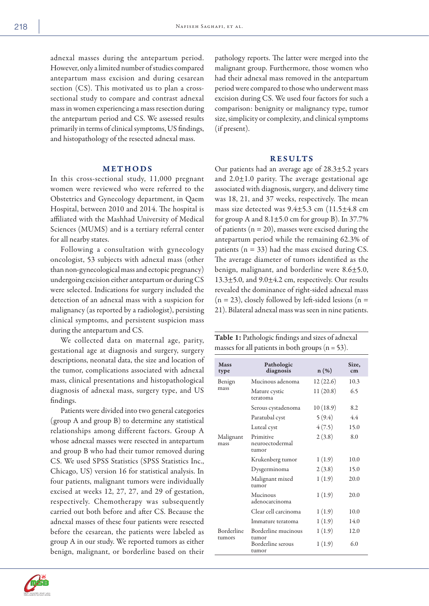adnexal masses during the antepartum period. However, only a limited number of studies compared antepartum mass excision and during cesarean section (CS). This motivated us to plan a crosssectional study to compare and contrast adnexal mass in women experiencing a mass resection during the antepartum period and CS. We assessed results primarily in terms of clinical symptoms, US findings, and histopathology of the resected adnexal mass.

### METHODS

In this cross-sectional study, 11,000 pregnant women were reviewed who were referred to the Obstetrics and Gynecology department, in Qaem Hospital, between 2010 and 2014. The hospital is affiliated with the Mashhad University of Medical Sciences (MUMS) and is a tertiary referral center for all nearby states.

Following a consultation with gynecology oncologist, 53 subjects with adnexal mass (other than non-gynecological mass and ectopic pregnancy) undergoing excision either antepartum or during CS were selected. Indications for surgery included the detection of an adnexal mass with a suspicion for malignancy (as reported by a radiologist), persisting clinical symptoms, and persistent suspicion mass during the antepartum and CS.

We collected data on maternal age, parity, gestational age at diagnosis and surgery, surgery descriptions, neonatal data, the size and location of the tumor, complications associated with adnexal mass, clinical presentations and histopathological diagnosis of adnexal mass, surgery type, and US findings.

Patients were divided into two general categories (group A and group B) to determine any statistical relationships among different factors. Group A whose adnexal masses were resected in antepartum and group B who had their tumor removed during CS. We used SPSS Statistics (SPSS Statistics Inc., Chicago, US) version 16 for statistical analysis. In four patients, malignant tumors were individually excised at weeks 12, 27, 27, and 29 of gestation, respectively. Chemotherapy was subsequently carried out both before and after CS. Because the adnexal masses of these four patients were resected before the cesarean, the patients were labeled as group A in our study. We reported tumors as either benign, malignant, or borderline based on their

pathology reports. The latter were merged into the malignant group. Furthermore, those women who had their adnexal mass removed in the antepartum period were compared to those who underwent mass excision during CS. We used four factors for such a comparison: benignity or malignancy type, tumor size, simplicity or complexity, and clinical symptoms (if present).

#### RESULTS

Our patients had an average age of 28.3±5.2 years and  $2.0 \pm 1.0$  parity. The average gestational age associated with diagnosis, surgery, and delivery time was 18, 21, and 37 weeks, respectively. The mean mass size detected was  $9.4\pm5.3$  cm  $(11.5\pm4.8$  cm for group A and  $8.1\pm5.0$  cm for group B). In 37.7% of patients ( $n = 20$ ), masses were excised during the antepartum period while the remaining 62.3% of patients ( $n = 33$ ) had the mass excised during CS. The average diameter of tumors identified as the benign, malignant, and borderline were 8.6±5.0, 13.3±5.0, and 9.0±4.2 cm, respectively. Our results revealed the dominance of right-sided adnexal mass  $(n = 23)$ , closely followed by left-sided lesions  $(n = 15)$ 21). Bilateral adnexal mass was seen in nine patients.

Table 1: Pathologic findings and sizes of adnexal masses for all patients in both groups  $(n = 53)$ .

| Mass<br>type         | Pathologic<br>diagnosis               | $n(\%)$   | Size.<br>cm |
|----------------------|---------------------------------------|-----------|-------------|
| Benign<br>mass       | Mucinous adenoma                      | 12 (22.6) | 10.3        |
|                      | Mature cystic<br>teratoma             | 11(20.8)  | 6.5         |
|                      | Serous cystadenoma                    | 10 (18.9) | 8.2         |
|                      | Paratubal cyst                        | 5(9.4)    | 4.4         |
|                      | Luteal cyst                           | 4(7.5)    | 15.0        |
| Malignant<br>mass    | Primitive<br>neuroectodermal<br>tumor | 2(3.8)    | 8.0         |
|                      | Krukenberg tumor                      | 1(1.9)    | 10.0        |
|                      | Dysgerminoma                          | 2(3.8)    | 15.0        |
|                      | Malignant mixed<br>tumor              | 1(1.9)    | 20.0        |
|                      | Mucinous<br>adenocarcinoma            | 1(1.9)    | 20.0        |
|                      | Clear cell carcinoma                  | 1(1.9)    | 10.0        |
|                      | Immature teratoma                     | 1(1.9)    | 14.0        |
| Borderline<br>tumors | Borderline mucinous<br>tumor          | 1(1.9)    | 12.0        |
|                      | Borderline serous<br>tumor            | 1(1.9)    | 6.0         |

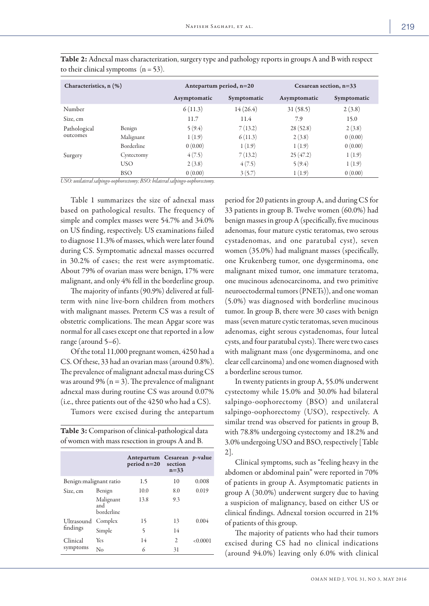| Characteristics, n (%)   |            | Antepartum period, $n=20$ |             | Cesarean section, $n=33$ |             |  |  |
|--------------------------|------------|---------------------------|-------------|--------------------------|-------------|--|--|
|                          |            | Asymptomatic              | Symptomatic | Asymptomatic             | Symptomatic |  |  |
| Number                   |            | 6(11.3)                   | 14(26.4)    | 31(58.5)                 | 2(3.8)      |  |  |
| Size, cm                 |            | 11.7                      | 11.4        | 7.9                      | 15.0        |  |  |
| Pathological<br>outcomes | Benign     | 5(9.4)                    | 7(13.2)     | 28(52.8)                 | 2(3.8)      |  |  |
|                          | Malignant  | 1(1.9)                    | 6(11.3)     | 2(3.8)                   | 0(0.00)     |  |  |
|                          | Borderline | 0(0.00)                   | 1(1.9)      | 1(1.9)                   | 0(0.00)     |  |  |
| Surgery                  | Cystectomy | 4(7.5)                    | 7(13.2)     | 25(47.2)                 | 1(1.9)      |  |  |
|                          | <b>USO</b> | 2(3.8)                    | 4(7.5)      | 5(9.4)                   | 1(1.9)      |  |  |
|                          | <b>BSO</b> | 0(0.00)                   | 3(5.7)      | 1(1.9)                   | 0(0.00)     |  |  |

Table 2: Adnexal mass characterization, surgery type and pathology reports in groups A and B with respect to their clinical symptoms  $(n = 53)$ .

*USO: unilateral salpingo-oophorectomy; BSO: bilateral salpingo-oophorectomy.*

Table 1 summarizes the size of adnexal mass based on pathological results. The frequency of simple and complex masses were 54.7% and 34.0% on US finding, respectively. US examinations failed to diagnose 11.3% of masses, which were later found during CS. Symptomatic adnexal masses occurred in 30.2% of cases; the rest were asymptomatic. About 79% of ovarian mass were benign, 17% were malignant, and only 4% fell in the borderline group.

The majority of infants (90.9%) delivered at fullterm with nine live-born children from mothers with malignant masses. Preterm CS was a result of obstetric complications. The mean Apgar score was normal for all cases except one that reported in a low range (around 5–6).

Of the total 11,000 pregnant women, 4250 had a CS. Of these, 33 had an ovarian mass (around 0.8%). The prevalence of malignant adnexal mass during CS was around 9% ( $n = 3$ ). The prevalence of malignant adnexal mass during routine CS was around 0.07% (i.e., three patients out of the 4250 who had a CS).

Tumors were excised during the antepartum

| <b>Table 3:</b> Comparison of clinical-pathological data |  |
|----------------------------------------------------------|--|
| of women with mass resection in groups A and B.          |  |

|                         |                                | Antepartum<br>$period n=20$ | Cesarean <i>p</i> -value<br>section<br>$n=33$ |          |
|-------------------------|--------------------------------|-----------------------------|-----------------------------------------------|----------|
| Benign: malignant ratio |                                | 1.5                         | 10                                            | 0.008    |
| Size, cm                | Benign                         | 10.0                        | 8.0                                           | 0.019    |
|                         | Malignant<br>and<br>borderline | 13.8                        | 9.3                                           |          |
| Ultrasound<br>findings  | Complex                        | 15                          | 13                                            | 0.004    |
|                         | Simple                         | 5                           | 14                                            |          |
| Clinical<br>symptoms    | Yes                            | 14                          | 2                                             | < 0.0001 |
|                         | No                             | 6                           | 31                                            |          |

period for 20 patients in group A, and during CS for 33 patients in group B. Twelve women (60.0%) had benign masses in group A (specifically, five mucinous adenomas, four mature cystic teratomas, two serous cystadenomas, and one paratubal cyst), seven women (35.0%) had malignant masses (specifically, one Krukenberg tumor, one dysgerminoma, one malignant mixed tumor, one immature teratoma, one mucinous adenocarcinoma, and two primitive neuroectodermal tumors (PNETs)), and one woman (5.0%) was diagnosed with borderline mucinous tumor. In group B, there were 30 cases with benign mass (seven mature cystic teratomas, seven mucinous adenomas, eight serous cystadenomas, four luteal cysts, and four paratubal cysts). There were two cases with malignant mass (one dysgerminoma, and one clear cell carcinoma) and one women diagnosed with a borderline serous tumor.

In twenty patients in group A, 55.0% underwent cystectomy while 15.0% and 30.0% had bilateral salpingo-oophorectomy (BSO) and unilateral salpingo-oophorectomy (USO), respectively. A similar trend was observed for patients in group B, with 78.8% undergoing cystectomy and 18.2% and 3.0% undergoing USO and BSO, respectively [Table 2].

Clinical symptoms, such as "feeling heavy in the abdomen or abdominal pain" were reported in 70% of patients in group A. Asymptomatic patients in group A (30.0%) underwent surgery due to having a suspicion of malignancy, based on either US or clinical findings. Adnexal torsion occurred in 21% of patients of this group.

The majority of patients who had their tumors excised during CS had no clinical indications (around 94.0%) leaving only 6.0% with clinical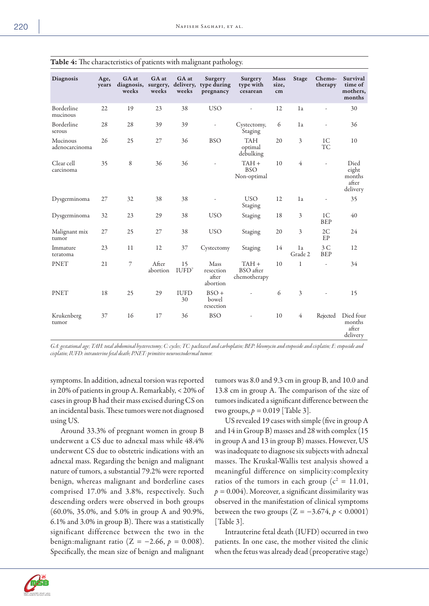| <b>Diagnosis</b>           | Age,<br>years | GA at<br>weeks | GA at<br>weeks    | GA at<br>weeks          | Surgery<br>diagnosis, surgery, delivery, type during<br>pregnancy | Surgery<br>type with<br>cesarean     | <b>Mass</b><br>size,<br>cm | <b>Stage</b>   | Chemo-<br>therapy            | Survival<br>time of<br>mothers,<br>months    |
|----------------------------|---------------|----------------|-------------------|-------------------------|-------------------------------------------------------------------|--------------------------------------|----------------------------|----------------|------------------------------|----------------------------------------------|
| Borderline<br>mucinous     | 22            | 19             | 23                | 38                      | <b>USO</b>                                                        | Ĭ.                                   | 12                         | 1a             | ÷,                           | 30                                           |
| Borderline<br>serous       | 28            | 28             | 39                | 39                      | $\overline{\phantom{a}}$                                          | Cystectomy,<br>Staging               | 6                          | 1a             |                              | 36                                           |
| Mucinous<br>adenocarcinoma | 26            | 25             | 27                | 36                      | <b>BSO</b>                                                        | <b>TAH</b><br>optimal<br>debulking   | 20                         | $\overline{3}$ | 1 <sup>C</sup><br>TC         | 10                                           |
| Clear cell<br>carcinoma    | 35            | $\,8\,$        | 36                | 36                      |                                                                   | $TAH +$<br><b>BSO</b><br>Non-optimal | 10                         | $\overline{4}$ |                              | Died<br>eight<br>months<br>after<br>delivery |
| Dysgerminoma               | 27            | 32             | 38                | 38                      |                                                                   | <b>USO</b><br>Staging                | 12                         | 1a             | ÷,                           | 35                                           |
| Dysgerminoma               | 32            | 23             | 29                | 38                      | <b>USO</b>                                                        | Staging                              | 18                         | 3              | 1 <sup>C</sup><br><b>BEP</b> | 40                                           |
| Malignant mix<br>tumor     | 27            | 25             | 27                | 38                      | <b>USO</b>                                                        | Staging                              | 20                         | 3              | 2C<br>EP                     | 24                                           |
| Immature<br>teratoma       | 23            | 11             | 12                | 37                      | Cystectomy                                                        | Staging                              | 14                         | 1a<br>Grade 2  | 3C<br><b>BEP</b>             | 12                                           |
| <b>PNET</b>                | 21            | $\overline{7}$ | After<br>abortion | 15<br>IUPD <sup>7</sup> | Mass<br>resection<br>after<br>abortion                            | $TAH +$<br>BSO after<br>chemotherapy | 10                         | $\mathbf{1}$   |                              | 34                                           |
| <b>PNET</b>                | 18            | 25             | 29                | <b>IUFD</b><br>30       | $BSO +$<br>bowel<br>resection                                     |                                      | 6                          | $\overline{3}$ |                              | 15                                           |
| Krukenberg<br>tumor        | 37            | 16             | 17                | 36                      | <b>BSO</b>                                                        |                                      | 10                         | $\overline{4}$ | Rejected                     | Died four<br>months<br>after<br>delivery     |

Table 4: The characteristics of patients with malignant pathology.

*GA: gestational age; TAH: total abdominal hysterectomy; C: cycles; TC: paclitaxel and carboplatin; BEP: bleomycin and etoposide and cisplatin; E: etoposide and cisplatin; IUFD: intrauterine fetal death; PNET: primitive neuroectodermal tumor.*

symptoms. In addition, adnexal torsion was reported in 20% of patients in group A. Remarkably, < 20% of cases in group B had their mass excised during CS on an incidental basis. These tumors were not diagnosed using US.

Around 33.3% of pregnant women in group B underwent a CS due to adnexal mass while 48.4% underwent CS due to obstetric indications with an adnexal mass. Regarding the benign and malignant nature of tumors, a substantial 79.2% were reported benign, whereas malignant and borderline cases comprised 17.0% and 3.8%, respectively. Such descending orders were observed in both groups (60.0%, 35.0%, and 5.0% in group A and 90.9%, 6.1% and 3.0% in group B). There was a statistically significant difference between the two in the benign:malignant ratio (Z = −2.66, *p =* 0.008). Specifically, the mean size of benign and malignant tumors was 8.0 and 9.3 cm in group B, and 10.0 and 13.8 cm in group A. The comparison of the size of tumors indicated a significant difference between the two groups,  $p = 0.019$  [Table 3].

US revealed 19 cases with simple (five in group A and 14 in Group B) masses and 28 with complex (15 in group A and 13 in group B) masses. However, US was inadequate to diagnose six subjects with adnexal masses. The Kruskal-Wallis test analysis showed a meaningful difference on simplicity:complexity ratios of the tumors in each group ( $c^2 = 11.01$ ,  $p = 0.004$ ). Moreover, a significant dissimilarity was observed in the manifestation of clinical symptoms between the two groups ( $Z = -3.674$ ,  $p < 0.0001$ ) [Table 3].

Intrauterine fetal death (IUFD) occurred in two patients. In one case, the mother visited the clinic when the fetus was already dead (preoperative stage)

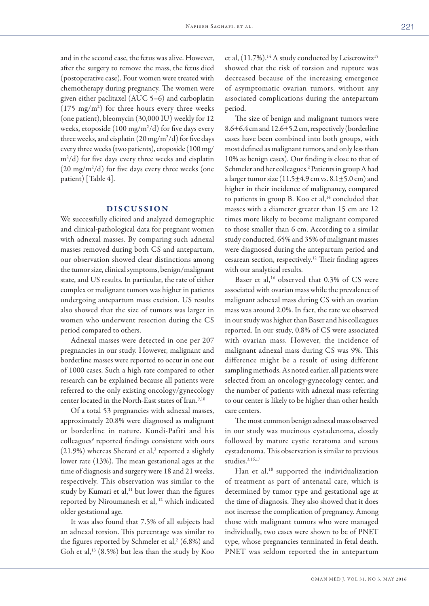and in the second case, the fetus was alive. However, after the surgery to remove the mass, the fetus died (postoperative case). Four women were treated with chemotherapy during pregnancy. The women were given either paclitaxel (AUC 5–6) and carboplatin (175 mg/m2 ) for three hours every three weeks (one patient), bleomycin (30,000 IU) weekly for 12 weeks, etoposide  $(100 \text{ mg/m}^2/d)$  for five days every three weeks, and cisplatin  $(20 \text{ mg/m}^2/d)$  for five days every three weeks (two patients), etoposide (100 mg/ m2 /d) for five days every three weeks and cisplatin  $(20 \text{ mg/m}^2/d)$  for five days every three weeks (one patient) [Table 4].

# DISCUSSION

We successfully elicited and analyzed demographic and clinical-pathological data for pregnant women with adnexal masses. By comparing such adnexal masses removed during both CS and antepartum, our observation showed clear distinctions among the tumor size, clinical symptoms, benign/malignant state, and US results. In particular, the rate of either complex or malignant tumors was higher in patients undergoing antepartum mass excision. US results also showed that the size of tumors was larger in women who underwent resection during the CS period compared to others.

Adnexal masses were detected in one per 207 pregnancies in our study. However, malignant and borderline masses were reported to occur in one out of 1000 cases. Such a high rate compared to other research can be explained because all patients were referred to the only existing oncology/gynecology center located in the North-East states of Iran.<sup>9,10</sup>

Of a total 53 pregnancies with adnexal masses, approximately 20.8% were diagnosed as malignant or borderline in nature. Kondi-Pafiti and his colleagues<sup>9</sup> reported findings consistent with ours  $(21.9%)$  whereas Sherard et al,<sup>3</sup> reported a slightly lower rate (13%). The mean gestational ages at the time of diagnosis and surgery were 18 and 21 weeks, respectively. This observation was similar to the study by Kumari et al,<sup>11</sup> but lower than the figures reported by Niroumanesh et al, 12 which indicated older gestational age.

It was also found that 7.5% of all subjects had an adnexal torsion. This percentage was similar to the figures reported by Schmeler et al,<sup>2</sup> (6.8%) and Goh et al, $^{13}$  (8.5%) but less than the study by Koo

et al,  $(11.7\%)$ .<sup>14</sup> A study conducted by Leiserowitz<sup>15</sup> showed that the risk of torsion and rupture was decreased because of the increasing emergence of asymptomatic ovarian tumors, without any associated complications during the antepartum period.

The size of benign and malignant tumors were  $8.6\pm6.4$  cm and  $12.6\pm5.2$  cm, respectively (borderline cases have been combined into both groups, with most defined as malignant tumors, and only less than 10% as benign cases). Our finding is close to that of Schmeler and her colleagues.<sup>2</sup> Patients in group A had a larger tumor size  $(11.5\pm4.9 \text{ cm vs. } 8.1\pm5.0 \text{ cm})$  and higher in their incidence of malignancy, compared to patients in group B. Koo et al, $14$  concluded that masses with a diameter greater than 15 cm are 12 times more likely to become malignant compared to those smaller than 6 cm. According to a similar study conducted, 65% and 35% of malignant masses were diagnosed during the antepartum period and cesarean section, respectively.12 Their finding agrees with our analytical results.

Baser et al,<sup>16</sup> observed that 0.3% of CS were associated with ovarian mass while the prevalence of malignant adnexal mass during CS with an ovarian mass was around 2.0%. In fact, the rate we observed in our study was higher than Baser and his colleagues reported. In our study, 0.8% of CS were associated with ovarian mass. However, the incidence of malignant adnexal mass during CS was 9%. This difference might be a result of using different sampling methods. As noted earlier, all patients were selected from an oncology-gynecology center, and the number of patients with adnexal mass referring to our center is likely to be higher than other health care centers.

The most common benign adnexal mass observed in our study was mucinous cystadenoma, closely followed by mature cystic teratoma and serous cystadenoma. This observation is similar to previous studies.<sup>3,16,17</sup>

Han et al,<sup>18</sup> supported the individualization of treatment as part of antenatal care, which is determined by tumor type and gestational age at the time of diagnosis. They also showed that it does not increase the complication of pregnancy. Among those with malignant tumors who were managed individually, two cases were shown to be of PNET type, whose pregnancies terminated in fetal death. PNET was seldom reported the in antepartum